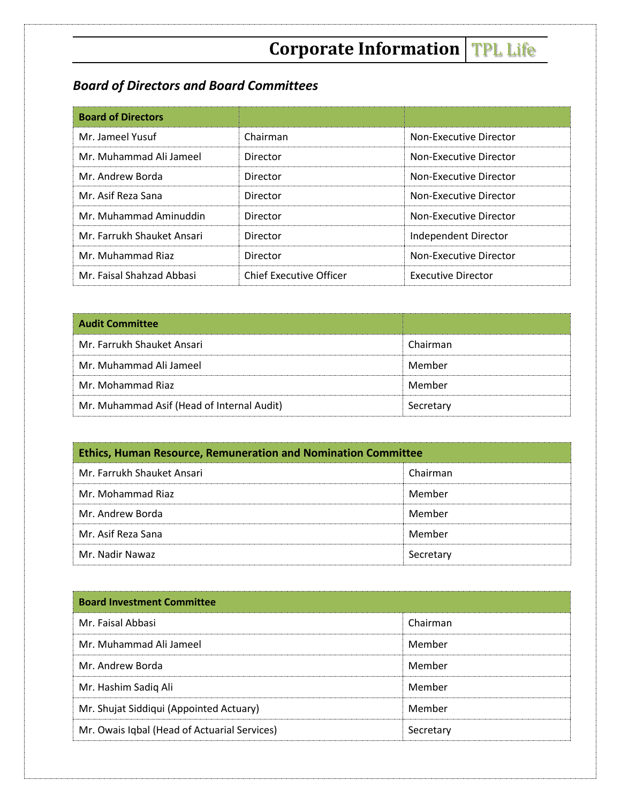# **Corporate Information TPL Life**

# *Board of Directors and Board Committees*

| <b>Board of Directors</b>  |                         |                           |
|----------------------------|-------------------------|---------------------------|
| Mr. Jameel Yusuf           | Chairman                | Non-Executive Director    |
| Mr. Muhammad Ali Jameel    | Director                | Non-Executive Director    |
| Mr. Andrew Borda           | Director                | Non-Executive Director    |
| Mr. Asif Reza Sana         | Director                | Non-Executive Director    |
| Mr. Muhammad Aminuddin     | Director                | Non-Executive Director    |
| Mr. Farrukh Shauket Ansari | Director                | Independent Director      |
| Mr. Muhammad Riaz          | Director                | Non-Executive Director    |
| Mr. Faisal Shahzad Abbasi  | Chief Executive Officer | <b>Executive Director</b> |

| <b>Audit Committee</b>                     |           |
|--------------------------------------------|-----------|
| Mr. Farrukh Shauket Ansari                 | Chairman  |
| Mr. Muhammad Ali Jameel                    | Member    |
| Mr. Mohammad Riaz                          | Member    |
| Mr. Muhammad Asif (Head of Internal Audit) | Secretary |

| <b>Ethics, Human Resource, Remuneration and Nomination Committee</b> |           |  |
|----------------------------------------------------------------------|-----------|--|
| Mr. Farrukh Shauket Ansari                                           | Chairman  |  |
| Mr. Mohammad Riaz                                                    | Member    |  |
| Mr. Andrew Borda                                                     | Member    |  |
| Mr. Asif Reza Sana                                                   | Member    |  |
| Mr. Nadir Nawaz                                                      | Secretary |  |

| <b>Board Investment Committee</b>            |           |
|----------------------------------------------|-----------|
| Mr. Faisal Abbasi                            | Chairman  |
| Mr. Muhammad Ali Jameel                      | Member    |
| Mr. Andrew Borda                             | Member    |
| Mr. Hashim Sadiq Ali                         | Member    |
| Mr. Shujat Siddiqui (Appointed Actuary)      | Member    |
| Mr. Owais Iqbal (Head of Actuarial Services) | Secretary |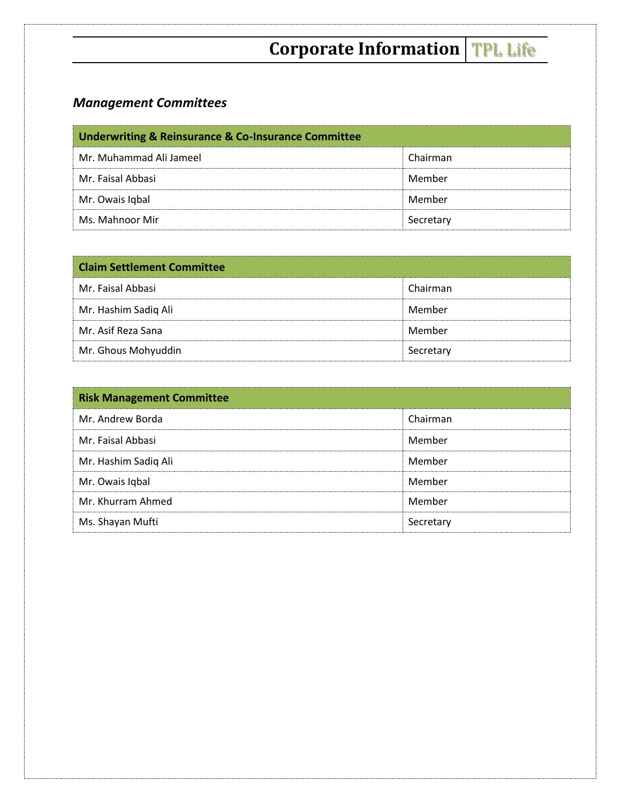# **Corporate Information** TPL Life

# *Management Committees*

| <b>Underwriting &amp; Reinsurance &amp; Co-Insurance Committee</b> |           |  |
|--------------------------------------------------------------------|-----------|--|
| Mr. Muhammad Ali Jameel                                            | Chairman  |  |
| Mr. Faisal Abbasi                                                  | Member    |  |
| Mr. Owais Igbal                                                    | Member    |  |
| Ms. Mahnoor Mir                                                    | Secretary |  |

| <b>Claim Settlement Committee</b> |           |
|-----------------------------------|-----------|
| Mr. Faisal Abbasi                 | Chairman  |
| Mr. Hashim Sadiq Ali              | Member    |
| Mr. Asif Reza Sana                | Member    |
| Mr. Ghous Mohyuddin               | Secretary |

| <b>Risk Management Committee</b> |           |
|----------------------------------|-----------|
| Mr. Andrew Borda                 | Chairman  |
| Mr. Faisal Abbasi                | Member    |
| Mr. Hashim Sadiq Ali             | Member    |
| Mr. Owais Iqbal                  | Member    |
| Mr. Khurram Ahmed                | Member    |
| Ms. Shayan Mufti                 | Secretary |